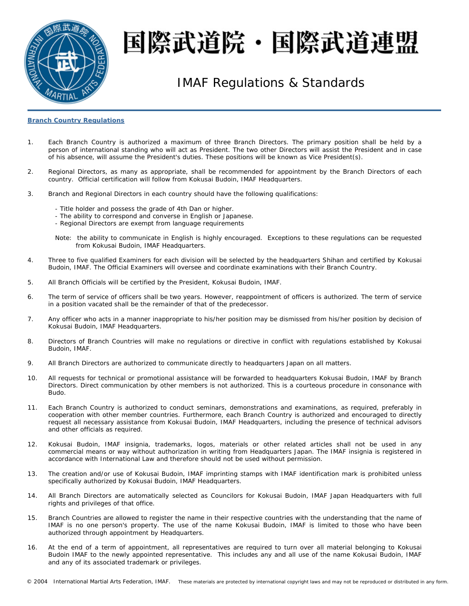

# 国際武道院・国際武道連盟

## IMAF Regulations & Standards

### **Branch Country Regulations**

- 1. Each Branch Country is authorized a maximum of three Branch Directors. The primary position shall be held by a person of international standing who will act as President. The two other Directors will assist the President and in case of his absence, will assume the President's duties. These positions will be known as Vice President(s).
- 2. Regional Directors, as many as appropriate, shall be recommended for appointment by the Branch Directors of each country. Official certification will follow from Kokusai Budoin, IMAF Headquarters.
- 3. Branch and Regional Directors in each country should have the following qualifications:
	- Title holder and possess the grade of 4th Dan or higher.
	- The ability to correspond and converse in English or Japanese.
	- Regional Directors are exempt from language requirements

Note: the ability to communicate in English is highly encouraged. Exceptions to these regulations can be requested from Kokusai Budoin, IMAF Headquarters.

- 4. Three to five qualified Examiners for each division will be selected by the headquarters *Shihan* and certified by Kokusai Budoin, IMAF. The Official Examiners will oversee and coordinate examinations with their Branch Country.
- 5. All Branch Officials will be certified by the President, Kokusai Budoin, IMAF.
- 6. The term of service of officers shall be two years. However, reappointment of officers is authorized. The term of service in a position vacated shall be the remainder of that of the predecessor.
- 7. Any officer who acts in a manner inappropriate to his/her position may be dismissed from his/her position by decision of Kokusai Budoin, IMAF Headquarters.
- 8. Directors of Branch Countries will make no regulations or directive in conflict with regulations established by Kokusai Budoin, IMAF.
- 9. All Branch Directors are authorized to communicate directly to headquarters Japan on all matters.
- 10. All requests for technical or promotional assistance will be forwarded to headquarters Kokusai Budoin, IMAF by Branch Directors. Direct communication by other members is not authorized. This is a courteous procedure in consonance with *Budo*.
- 11. Each Branch Country is authorized to conduct seminars, demonstrations and examinations, as required, preferably in cooperation with other member countries. Furthermore, each Branch Country is authorized and encouraged to directly request all necessary assistance from Kokusai Budoin, IMAF Headquarters, including the presence of technical advisors and other officials as required.
- 12. Kokusai Budoin, IMAF insignia, trademarks, logos, materials or other related articles shall not be used in any commercial means or way without authorization in writing from Headquarters Japan. The IMAF insignia is registered in accordance with International Law and therefore should not be used without permission.
- 13. The creation and/or use of Kokusai Budoin, IMAF imprinting stamps with IMAF identification mark is prohibited unless specifically authorized by Kokusai Budoin, IMAF Headquarters.
- 14. All Branch Directors are automatically selected as Councilors for Kokusai Budoin, IMAF Japan Headquarters with full rights and privileges of that office.
- 15. Branch Countries are allowed to register the name in their respective countries with the understanding that the name of IMAF is no one person's property. The use of the name Kokusai Budoin, IMAF is limited to those who have been authorized through appointment by Headquarters.
- 16. At the end of a term of appointment, all representatives are required to turn over all material belonging to Kokusai Budoin IMAF to the newly appointed representative. This includes any and all use of the name Kokusai Budoin, IMAF and any of its associated trademark or privileges.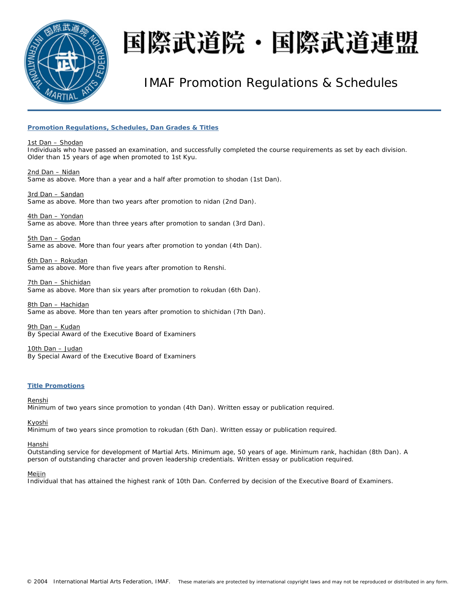

# 国際武道院・国際武道連盟

## IMAF Promotion Regulations & Schedules

### **Promotion Regulations, Schedules, Dan Grades & Titles**

1st Dan – *Shodan* Individuals who have passed an examination, and successfully completed the course requirements as set by each division. Older than 15 years of age when promoted to 1st *Kyu*.

2nd Dan – *Nidan* Same as above. More than a year and a half after promotion to *shodan* (1st Dan).

3rd Dan – *Sandan* Same as above. More than two years after promotion to *nidan* (2nd Dan).

4th Dan – *Yondan*  Same as above. More than three years after promotion to *sandan* (3rd Dan).

5th Dan – *Godan* Same as above. More than four years after promotion to *yondan* (4th Dan).

6th Dan – *Rokudan*  Same as above. More than five years after promotion to *Renshi*.

7th Dan – *Shichidan* Same as above. More than six years after promotion to *rokudan* (6th Dan).

8th Dan – *Hachidan* Same as above. More than ten years after promotion to *shichidan* (7th Dan).

9th Dan – *Kudan*  By Special Award of the Executive Board of Examiners

10th Dan – *Judan*  By Special Award of the Executive Board of Examiners

### **Title Promotions**

Renshi

Minimum of two years since promotion to *yondan* (4th Dan). Written essay or publication required.

Kyoshi

Minimum of two years since promotion to *rokudan* (6th Dan). Written essay or publication required.

Hanshi

Outstanding service for development of Martial Arts. Minimum age, 50 years of age. Minimum rank, *hachidan* (8th Dan). A person of outstanding character and proven leadership credentials. Written essay or publication required.

### Meijin

Individual that has attained the highest rank of 10th Dan. Conferred by decision of the Executive Board of Examiners.